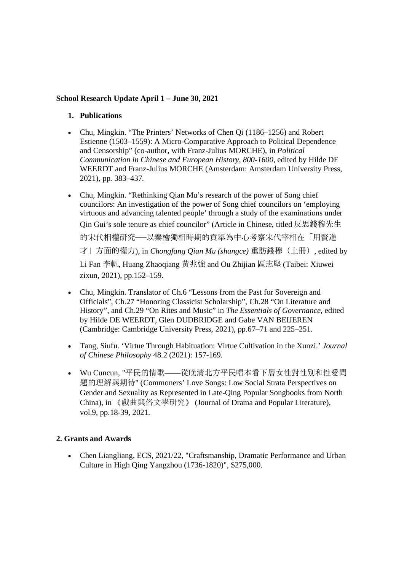### **School Research Update April 1 – June 30, 2021**

### **1. Publications**

- Chu, Mingkin. "The Printers' Networks of Chen Qi (1186–1256) and Robert Estienne (1503–1559): A Micro-Comparative Approach to Political Dependence and Censorship" (co-author, with Franz-Julius MORCHE), in *Political Communication in Chinese and European History, 800-1600*, edited by Hilde DE WEERDT and Franz-Julius MORCHE (Amsterdam: Amsterdam University Press, 2021), pp. 383–437.
- Chu, Mingkin. "Rethinking Qian Mu's research of the power of Song chief councilors: An investigation of the power of Song chief councilors on 'employing virtuous and advancing talented people' through a study of the examinations under Qin Gui's sole tenure as chief councilor" (Article in Chinese, titled 反思錢穆先⽣ 的宋代相權研究——以秦檜獨相時期的貢舉為中心考察宋代宰相在「用賢進 才」方面的權力), in *Chongfang Qian Mu (shangce)* 重訪錢穆(上冊), edited by Li Fan 李帆, Huang Zhaoqiang 黃兆強 and Ou Zhijian 區志堅 (Taibei: Xiuwei) zixun, 2021), pp.152–159.
- Chu, Mingkin. Translator of Ch.6 "Lessons from the Past for Sovereign and Officials", Ch.27 "Honoring Classicist Scholarship", Ch.28 "On Literature and History", and Ch.29 "On Rites and Music" in *The Essentials of Governance*, edited by Hilde DE WEERDT, Glen DUDBRIDGE and Gabe VAN BEIJEREN (Cambridge: Cambridge University Press, 2021), pp.67–71 and 225–251.
- Tang, Siufu. 'Virtue Through Habituation: Virtue Cultivation in the Xunzi.' *Journal of Chinese Philosophy* 48.2 (2021): 157-169.
- Wu Cuncun, "平民的情歌——從晚清北方平民唱本看下層女性對性别和性愛問 題的理解與期待" (Commoners' Love Songs: Low Social Strata Perspectives on Gender and Sexuality as Represented in Late-Qing Popular Songbooks from North China), in 《戲曲與俗文學研究》 (Journal of Drama and Popular Literature), vol.9, pp.18-39, 2021.

# **2. Grants and Awards**

 Chen Liangliang, ECS, 2021/22, "Craftsmanship, Dramatic Performance and Urban Culture in High Qing Yangzhou (1736-1820)", \$275,000.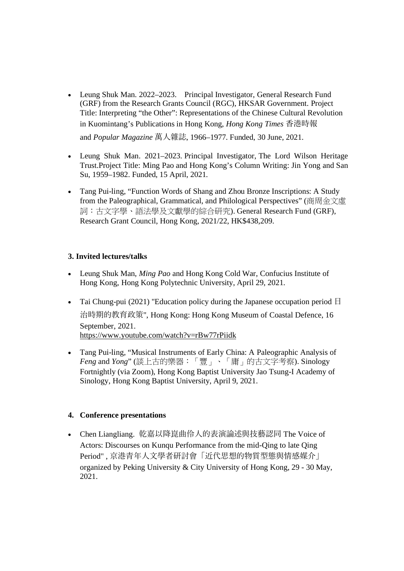- Leung Shuk Man. 2022–2023. Principal Investigator, General Research Fund (GRF) from the Research Grants Council (RGC), HKSAR Government. Project Title: Interpreting "the Other": Representations of the Chinese Cultural Revolution in Kuomintang's Publications in Hong Kong, *Hong Kong Times* ⾹港時報 and *Popular Magazine* 萬⼈雜誌, 1966–1977. Funded, 30 June, 2021.
- Leung Shuk Man. 2021–2023. Principal Investigator, The Lord Wilson Heritage Trust.Project Title: Ming Pao and Hong Kong's Column Writing: Jin Yong and San Su, 1959–1982. Funded, 15 April, 2021.
- Tang Pui-ling, "Function Words of Shang and Zhou Bronze Inscriptions: A Study from the Paleographical, Grammatical, and Philological Perspectives" (商周金文虛 詞:古文字學、語法學及文獻學的綜合研究). General Research Fund (GRF), Research Grant Council, Hong Kong, 2021/22, HK\$438,209.

## **3. Invited lectures/talks**

- Leung Shuk Man, *Ming Pao* and Hong Kong Cold War, Confucius Institute of Hong Kong, Hong Kong Polytechnic University, April 29, 2021.
- Tai Chung-pui (2021) "Education policy during the Japanese occupation period  $\Box$ 治時期的教育政策", Hong Kong: Hong Kong Museum of Coastal Defence, 16 September, 2021. https://www.youtube.com/watch?v=rBw77rPiidk
- Tang Pui-ling, "Musical Instruments of Early China: A Paleographic Analysis of *Feng* and *Yong*" (談上古的樂器:「豐」、「庸」的古文字考察). Sinology Fortnightly (via Zoom), Hong Kong Baptist University Jao Tsung-I Academy of Sinology, Hong Kong Baptist University, April 9, 2021.

### **4. Conference presentations**

● Chen Liangliang. 乾嘉以降崑曲伶人的表演論述與技藝認同 The Voice of Actors: Discourses on Kunqu Performance from the mid-Qing to late Qing Period", 京港青年人文學者研討會「近代思想的物質型態與情感媒介」 organized by Peking University & City University of Hong Kong, 29 - 30 May, 2021.